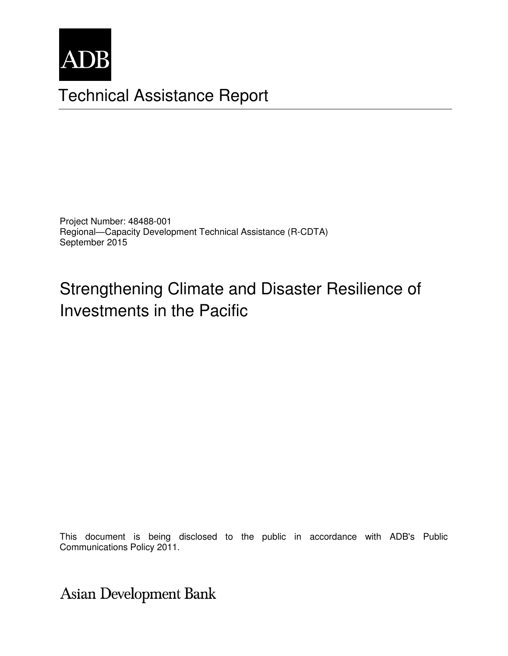

# Technical Assistance Report

Project Number: 48488-001 Regional—Capacity Development Technical Assistance (R-CDTA) September 2015

# Strengthening Climate and Disaster Resilience of Investments in the Pacific

Communications Policy 2011. This document is being disclosed to the public in accordance with ADB's Public

**Asian Development Bank**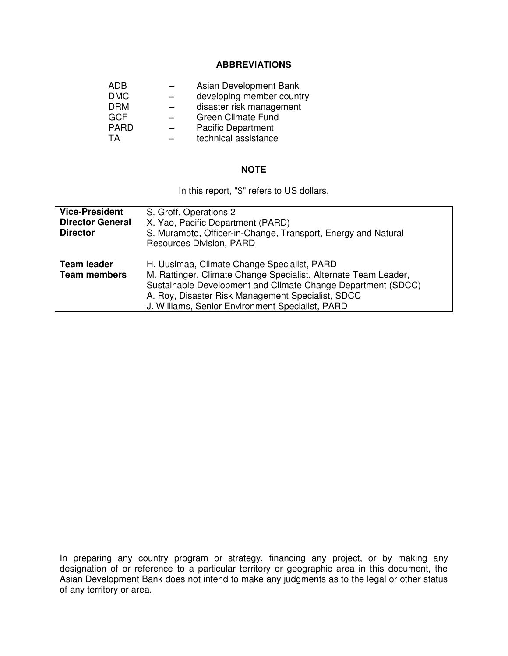#### **ABBREVIATIONS**

|                          | Asian Development Bank    |
|--------------------------|---------------------------|
|                          | developing member country |
|                          | disaster risk management  |
| $\overline{\phantom{0}}$ | <b>Green Climate Fund</b> |
| -                        | <b>Pacific Department</b> |
|                          | technical assistance      |
|                          |                           |

## **NOTE**

In this report, "\$" refers to US dollars.

| <b>Vice-President</b><br><b>Director General</b><br><b>Director</b> | S. Groff, Operations 2<br>X. Yao, Pacific Department (PARD)<br>S. Muramoto, Officer-in-Change, Transport, Energy and Natural<br>Resources Division, PARD                                                                                                                                |
|---------------------------------------------------------------------|-----------------------------------------------------------------------------------------------------------------------------------------------------------------------------------------------------------------------------------------------------------------------------------------|
| <b>Team leader</b><br><b>Team members</b>                           | H. Uusimaa, Climate Change Specialist, PARD<br>M. Rattinger, Climate Change Specialist, Alternate Team Leader,<br>Sustainable Development and Climate Change Department (SDCC)<br>A. Roy, Disaster Risk Management Specialist, SDCC<br>J. Williams, Senior Environment Specialist, PARD |

In preparing any country program or strategy, financing any project, or by making any designation of or reference to a particular territory or geographic area in this document, the Asian Development Bank does not intend to make any judgments as to the legal or other status of any territory or area.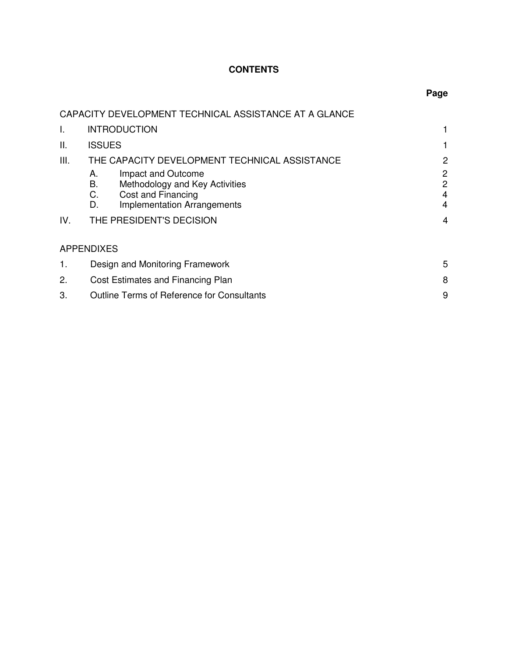# **CONTENTS**

|      |                   | CAPACITY DEVELOPMENT TECHNICAL ASSISTANCE AT A GLANCE |   |
|------|-------------------|-------------------------------------------------------|---|
| Τ.   |                   | <b>INTRODUCTION</b>                                   | 1 |
| Ш.   | <b>ISSUES</b>     |                                                       | 1 |
| III. |                   | THE CAPACITY DEVELOPMENT TECHNICAL ASSISTANCE         | 2 |
|      | А.                | Impact and Outcome                                    | 2 |
|      | В.                | Methodology and Key Activities                        | 2 |
|      | C.                | Cost and Financing                                    | 4 |
|      | D.                | <b>Implementation Arrangements</b>                    | 4 |
| IV.  |                   | THE PRESIDENT'S DECISION                              | 4 |
|      | <b>APPENDIXES</b> |                                                       |   |
| 1.   |                   | Design and Monitoring Framework                       | 5 |
| 2.   |                   | Cost Estimates and Financing Plan                     | 8 |
| 3.   |                   | <b>Outline Terms of Reference for Consultants</b>     | 9 |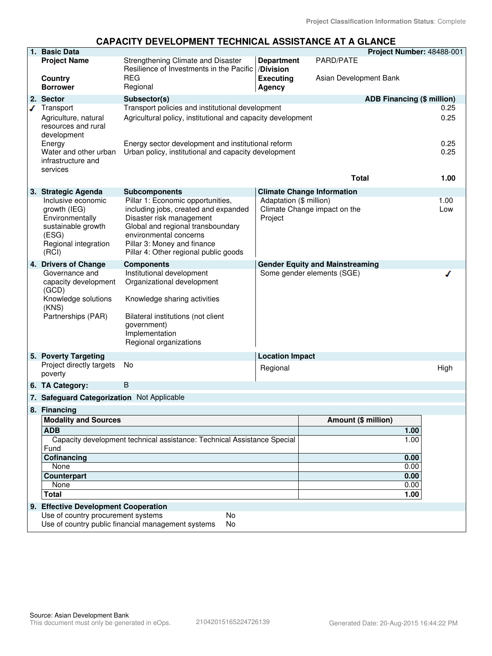## **CAPACITY DEVELOPMENT TECHNICAL ASSISTANCE AT A GLANCE**

|   | 1. Basic Data                                                                                                         |                                                                                                                                                                                                                                              |                                    |                                                                      | Project Number: 48488-001         |              |
|---|-----------------------------------------------------------------------------------------------------------------------|----------------------------------------------------------------------------------------------------------------------------------------------------------------------------------------------------------------------------------------------|------------------------------------|----------------------------------------------------------------------|-----------------------------------|--------------|
|   | <b>Project Name</b>                                                                                                   | Strengthening Climate and Disaster<br>Resilience of Investments in the Pacific  /Division                                                                                                                                                    | <b>Department</b>                  | PARD/PATE                                                            |                                   |              |
|   | Country<br><b>Borrower</b>                                                                                            | REG<br>Regional                                                                                                                                                                                                                              | <b>Executing</b><br>Agency         | Asian Development Bank                                               |                                   |              |
|   | 2. Sector                                                                                                             | Subsector(s)                                                                                                                                                                                                                                 |                                    |                                                                      | <b>ADB Financing (\$ million)</b> |              |
| ℐ | Transport                                                                                                             | Transport policies and institutional development                                                                                                                                                                                             |                                    |                                                                      |                                   | 0.25         |
|   | Agriculture, natural<br>resources and rural<br>development                                                            | Agricultural policy, institutional and capacity development                                                                                                                                                                                  |                                    |                                                                      |                                   | 0.25         |
|   | Energy<br>Water and other urban<br>infrastructure and<br>services                                                     | Energy sector development and institutional reform<br>Urban policy, institutional and capacity development                                                                                                                                   |                                    |                                                                      |                                   | 0.25<br>0.25 |
|   |                                                                                                                       |                                                                                                                                                                                                                                              |                                    | <b>Total</b>                                                         |                                   | 1.00         |
|   | 3. Strategic Agenda                                                                                                   | <b>Subcomponents</b>                                                                                                                                                                                                                         |                                    | <b>Climate Change Information</b>                                    |                                   |              |
|   | Inclusive economic<br>growth (IEG)<br>Environmentally<br>sustainable growth<br>(ESG)<br>Regional integration<br>(RCI) | Pillar 1: Economic opportunities,<br>including jobs, created and expanded<br>Disaster risk management<br>Global and regional transboundary<br>environmental concerns<br>Pillar 3: Money and finance<br>Pillar 4: Other regional public goods | Adaptation (\$ million)<br>Project | Climate Change impact on the                                         |                                   | 1.00<br>Low  |
|   | 4. Drivers of Change<br>Governance and<br>capacity development<br>(GCD)                                               | <b>Components</b><br>Institutional development<br>Organizational development                                                                                                                                                                 |                                    | <b>Gender Equity and Mainstreaming</b><br>Some gender elements (SGE) |                                   |              |
|   | Knowledge solutions<br>(KNS)                                                                                          | Knowledge sharing activities                                                                                                                                                                                                                 |                                    |                                                                      |                                   |              |
|   | Partnerships (PAR)                                                                                                    | Bilateral institutions (not client<br>government)<br>Implementation<br>Regional organizations                                                                                                                                                |                                    |                                                                      |                                   |              |
|   | 5. Poverty Targeting                                                                                                  |                                                                                                                                                                                                                                              | <b>Location Impact</b>             |                                                                      |                                   |              |
|   | Project directly targets<br>poverty                                                                                   | No                                                                                                                                                                                                                                           | Regional                           |                                                                      |                                   | High         |
|   | 6. TA Category:                                                                                                       | B                                                                                                                                                                                                                                            |                                    |                                                                      |                                   |              |
|   | 7. Safeguard Categorization Not Applicable                                                                            |                                                                                                                                                                                                                                              |                                    |                                                                      |                                   |              |
|   | 8. Financing                                                                                                          |                                                                                                                                                                                                                                              |                                    |                                                                      |                                   |              |
|   | <b>Modality and Sources</b>                                                                                           |                                                                                                                                                                                                                                              |                                    | Amount (\$ million)                                                  |                                   |              |
|   | <b>ADB</b>                                                                                                            |                                                                                                                                                                                                                                              |                                    |                                                                      | 1.00                              |              |
|   | Fund                                                                                                                  | Capacity development technical assistance: Technical Assistance Special                                                                                                                                                                      |                                    |                                                                      | 1.00                              |              |
|   | Cofinancing                                                                                                           |                                                                                                                                                                                                                                              |                                    |                                                                      | 0.00                              |              |
|   | None                                                                                                                  |                                                                                                                                                                                                                                              |                                    |                                                                      | 0.00                              |              |
|   | <b>Counterpart</b><br>None                                                                                            |                                                                                                                                                                                                                                              |                                    |                                                                      | 0.00<br>0.00                      |              |
|   | <b>Total</b>                                                                                                          |                                                                                                                                                                                                                                              |                                    |                                                                      | 1.00                              |              |
|   | 9. Effective Development Cooperation                                                                                  |                                                                                                                                                                                                                                              |                                    |                                                                      |                                   |              |
|   | Use of country procurement systems                                                                                    | No                                                                                                                                                                                                                                           |                                    |                                                                      |                                   |              |
|   |                                                                                                                       | Use of country public financial management systems<br>No                                                                                                                                                                                     |                                    |                                                                      |                                   |              |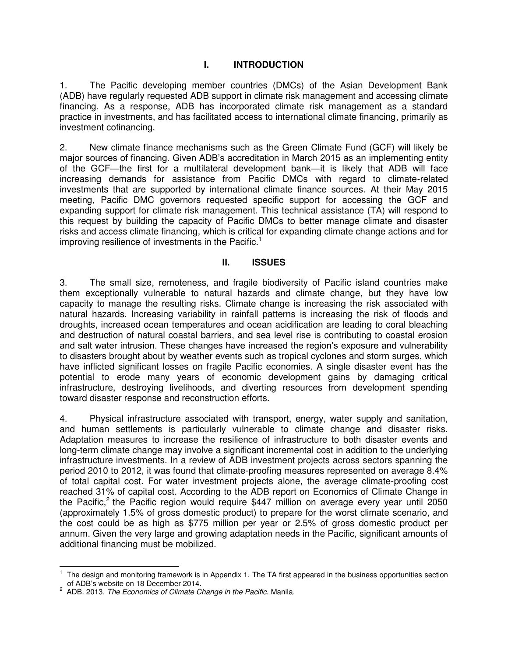## **I. INTRODUCTION**

1. The Pacific developing member countries (DMCs) of the Asian Development Bank (ADB) have regularly requested ADB support in climate risk management and accessing climate financing. As a response, ADB has incorporated climate risk management as a standard practice in investments, and has facilitated access to international climate financing, primarily as investment cofinancing.

2. New climate finance mechanisms such as the Green Climate Fund (GCF) will likely be major sources of financing. Given ADB's accreditation in March 2015 as an implementing entity of the GCF—the first for a multilateral development bank—it is likely that ADB will face increasing demands for assistance from Pacific DMCs with regard to climate-related investments that are supported by international climate finance sources. At their May 2015 meeting, Pacific DMC governors requested specific support for accessing the GCF and expanding support for climate risk management. This technical assistance (TA) will respond to this request by building the capacity of Pacific DMCs to better manage climate and disaster risks and access climate financing, which is critical for expanding climate change actions and for improving resilience of investments in the Pacific.<sup>1</sup>

#### **II. ISSUES**

3. The small size, remoteness, and fragile biodiversity of Pacific island countries make them exceptionally vulnerable to natural hazards and climate change, but they have low capacity to manage the resulting risks. Climate change is increasing the risk associated with natural hazards. Increasing variability in rainfall patterns is increasing the risk of floods and droughts, increased ocean temperatures and ocean acidification are leading to coral bleaching and destruction of natural coastal barriers, and sea level rise is contributing to coastal erosion and salt water intrusion. These changes have increased the region's exposure and vulnerability to disasters brought about by weather events such as tropical cyclones and storm surges, which have inflicted significant losses on fragile Pacific economies. A single disaster event has the potential to erode many years of economic development gains by damaging critical infrastructure, destroying livelihoods, and diverting resources from development spending toward disaster response and reconstruction efforts.

4. Physical infrastructure associated with transport, energy, water supply and sanitation, and human settlements is particularly vulnerable to climate change and disaster risks. Adaptation measures to increase the resilience of infrastructure to both disaster events and long-term climate change may involve a significant incremental cost in addition to the underlying infrastructure investments. In a review of ADB investment projects across sectors spanning the period 2010 to 2012, it was found that climate-proofing measures represented on average 8.4% of total capital cost. For water investment projects alone, the average climate-proofing cost reached 31% of capital cost. According to the ADB report on Economics of Climate Change in the Pacific,<sup>2</sup> the Pacific region would require \$447 million on average every year until 2050 (approximately 1.5% of gross domestic product) to prepare for the worst climate scenario, and the cost could be as high as \$775 million per year or 2.5% of gross domestic product per annum. Given the very large and growing adaptation needs in the Pacific, significant amounts of additional financing must be mobilized.

 $\overline{a}$ 1 The design and monitoring framework is in Appendix 1. The TA first appeared in the business opportunities section

of ADB's website on 18 December 2014. 2 ADB. 2013. *The Economics of Climate Change in the Pacific.* Manila.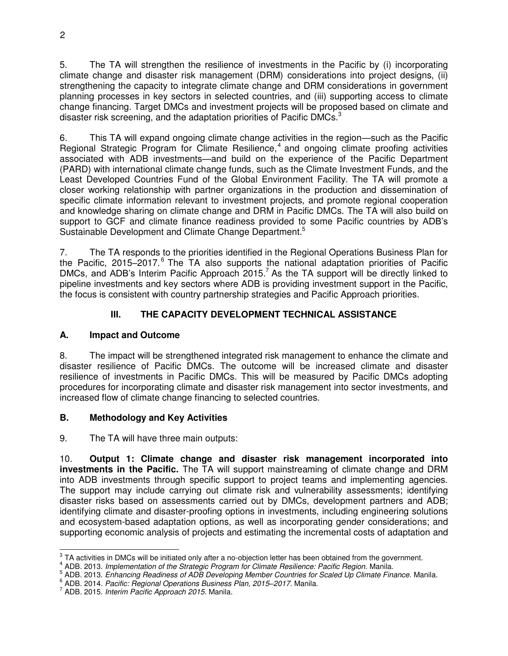5. The TA will strengthen the resilience of investments in the Pacific by (i) incorporating climate change and disaster risk management (DRM) considerations into project designs, (ii) strengthening the capacity to integrate climate change and DRM considerations in government planning processes in key sectors in selected countries, and (iii) supporting access to climate change financing. Target DMCs and investment projects will be proposed based on climate and disaster risk screening, and the adaptation priorities of Pacific DMCs.<sup>3</sup>

6. This TA will expand ongoing climate change activities in the region—such as the Pacific Regional Strategic Program for Climate Resilience,<sup>4</sup> and ongoing climate proofing activities associated with ADB investments—and build on the experience of the Pacific Department (PARD) with international climate change funds, such as the Climate Investment Funds, and the Least Developed Countries Fund of the Global Environment Facility. The TA will promote a closer working relationship with partner organizations in the production and dissemination of specific climate information relevant to investment projects, and promote regional cooperation and knowledge sharing on climate change and DRM in Pacific DMCs. The TA will also build on support to GCF and climate finance readiness provided to some Pacific countries by ADB's Sustainable Development and Climate Change Department.<sup>5</sup>

7. The TA responds to the priorities identified in the Regional Operations Business Plan for the Pacific, 2015–2017.<sup>6</sup> The TA also supports the national adaptation priorities of Pacific DMCs, and ADB's Interim Pacific Approach 2015.<sup>7</sup> As the TA support will be directly linked to pipeline investments and key sectors where ADB is providing investment support in the Pacific, the focus is consistent with country partnership strategies and Pacific Approach priorities.

# **III. THE CAPACITY DEVELOPMENT TECHNICAL ASSISTANCE**

# **A. Impact and Outcome**

8. The impact will be strengthened integrated risk management to enhance the climate and disaster resilience of Pacific DMCs. The outcome will be increased climate and disaster resilience of investments in Pacific DMCs. This will be measured by Pacific DMCs adopting procedures for incorporating climate and disaster risk management into sector investments, and increased flow of climate change financing to selected countries.

# **B. Methodology and Key Activities**

9. The TA will have three main outputs:

10. **Output 1: Climate change and disaster risk management incorporated into investments in the Pacific.** The TA will support mainstreaming of climate change and DRM into ADB investments through specific support to project teams and implementing agencies. The support may include carrying out climate risk and vulnerability assessments; identifying disaster risks based on assessments carried out by DMCs, development partners and ADB; identifying climate and disaster-proofing options in investments, including engineering solutions and ecosystem-based adaptation options, as well as incorporating gender considerations; and supporting economic analysis of projects and estimating the incremental costs of adaptation and

<sup>&</sup>lt;sup>3</sup> TA activities in DMCs will be initiated only after a no-objection letter has been obtained from the government.

<sup>4</sup> ADB. 2013. *Implementation of the Strategic Program for Climate Resilience: Pacific Region.* Manila.

<sup>5</sup> ADB. 2013. *Enhancing Readiness of ADB Developing Member Countries for Scaled Up Climate Finance.* Manila.

<sup>6</sup> ADB. 2014. *Pacific: Regional Operations Business Plan, 2015–2017.* Manila.

<sup>7</sup> ADB. 2015. *Interim Pacific Approach 2015*. Manila.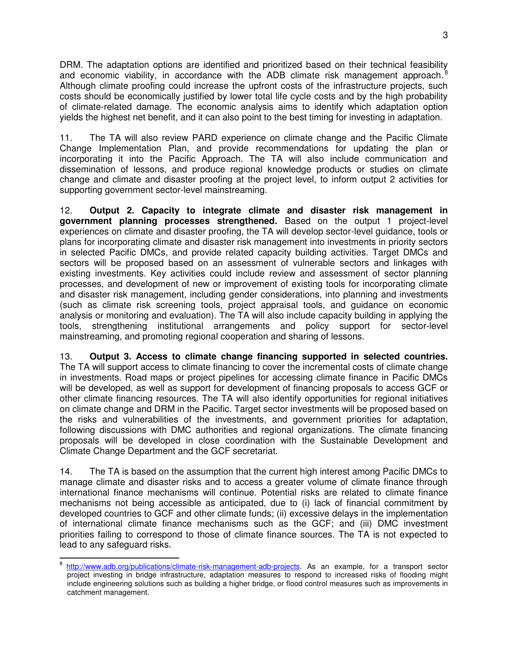DRM. The adaptation options are identified and prioritized based on their technical feasibility and economic viability, in accordance with the ADB climate risk management approach.<sup>8</sup> Although climate proofing could increase the upfront costs of the infrastructure projects, such costs should be economically justified by lower total life cycle costs and by the high probability of climate-related damage. The economic analysis aims to identify which adaptation option yields the highest net benefit, and it can also point to the best timing for investing in adaptation.

11. The TA will also review PARD experience on climate change and the Pacific Climate Change Implementation Plan, and provide recommendations for updating the plan or incorporating it into the Pacific Approach. The TA will also include communication and dissemination of lessons, and produce regional knowledge products or studies on climate change and climate and disaster proofing at the project level, to inform output 2 activities for supporting government sector-level mainstreaming.

12. **Output 2. Capacity to integrate climate and disaster risk management in government planning processes strengthened.** Based on the output 1 project-level experiences on climate and disaster proofing, the TA will develop sector-level guidance, tools or plans for incorporating climate and disaster risk management into investments in priority sectors in selected Pacific DMCs, and provide related capacity building activities. Target DMCs and sectors will be proposed based on an assessment of vulnerable sectors and linkages with existing investments. Key activities could include review and assessment of sector planning processes, and development of new or improvement of existing tools for incorporating climate and disaster risk management, including gender considerations, into planning and investments (such as climate risk screening tools, project appraisal tools, and guidance on economic analysis or monitoring and evaluation). The TA will also include capacity building in applying the tools, strengthening institutional arrangements and policy support for sector-level mainstreaming, and promoting regional cooperation and sharing of lessons.

13. **Output 3. Access to climate change financing supported in selected countries.** The TA will support access to climate financing to cover the incremental costs of climate change in investments. Road maps or project pipelines for accessing climate finance in Pacific DMCs will be developed, as well as support for development of financing proposals to access GCF or other climate financing resources. The TA will also identify opportunities for regional initiatives on climate change and DRM in the Pacific. Target sector investments will be proposed based on the risks and vulnerabilities of the investments, and government priorities for adaptation, following discussions with DMC authorities and regional organizations. The climate financing proposals will be developed in close coordination with the Sustainable Development and Climate Change Department and the GCF secretariat.

14. The TA is based on the assumption that the current high interest among Pacific DMCs to manage climate and disaster risks and to access a greater volume of climate finance through international finance mechanisms will continue. Potential risks are related to climate finance mechanisms not being accessible as anticipated, due to (i) lack of financial commitment by developed countries to GCF and other climate funds; (ii) excessive delays in the implementation of international climate finance mechanisms such as the GCF; and (iii) DMC investment priorities failing to correspond to those of climate finance sources. The TA is not expected to lead to any safeguard risks.

<sup>&</sup>lt;sup>8</sup> [http://www.adb.org/publications/climate-risk-management-adb-projects.](http://www.adb.org/publications/climate-risk-management-adb-projects) As an example, for a transport sector project investing in bridge infrastructure, adaptation measures to respond to increased risks of flooding might include engineering solutions such as building a higher bridge, or flood control measures such as improvements in catchment management.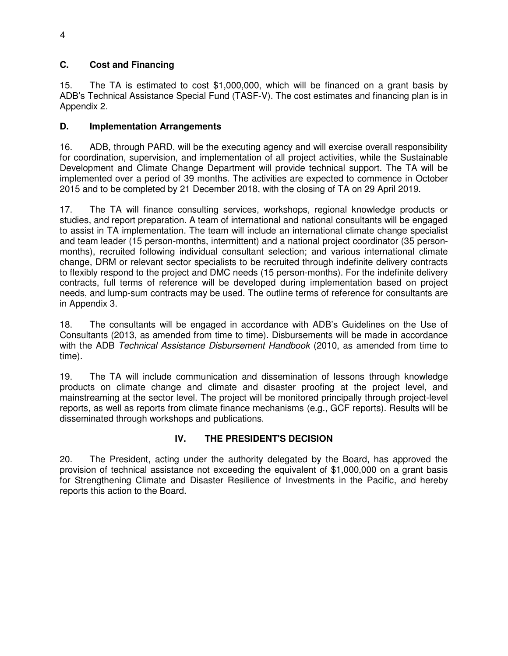# **C. Cost and Financing**

15. The TA is estimated to cost \$1,000,000, which will be financed on a grant basis by ADB's Technical Assistance Special Fund (TASF-V). The cost estimates and financing plan is in Appendix 2.

#### **D. Implementation Arrangements**

16. ADB, through PARD, will be the executing agency and will exercise overall responsibility for coordination, supervision, and implementation of all project activities, while the Sustainable Development and Climate Change Department will provide technical support. The TA will be implemented over a period of 39 months. The activities are expected to commence in October 2015 and to be completed by 21 December 2018, with the closing of TA on 29 April 2019.

17. The TA will finance consulting services, workshops, regional knowledge products or studies, and report preparation. A team of international and national consultants will be engaged to assist in TA implementation. The team will include an international climate change specialist and team leader (15 person-months, intermittent) and a national project coordinator (35 personmonths), recruited following individual consultant selection; and various international climate change, DRM or relevant sector specialists to be recruited through indefinite delivery contracts to flexibly respond to the project and DMC needs (15 person-months). For the indefinite delivery contracts, full terms of reference will be developed during implementation based on project needs, and lump-sum contracts may be used. The outline terms of reference for consultants are in Appendix 3.

18. The consultants will be engaged in accordance with ADB's Guidelines on the Use of Consultants (2013, as amended from time to time). Disbursements will be made in accordance with the ADB *Technical Assistance Disbursement Handbook* (2010, as amended from time to time).

19. The TA will include communication and dissemination of lessons through knowledge products on climate change and climate and disaster proofing at the project level, and mainstreaming at the sector level. The project will be monitored principally through project-level reports, as well as reports from climate finance mechanisms (e.g., GCF reports). Results will be disseminated through workshops and publications.

# **IV. THE PRESIDENT'S DECISION**

20. The President, acting under the authority delegated by the Board, has approved the provision of technical assistance not exceeding the equivalent of \$1,000,000 on a grant basis for Strengthening Climate and Disaster Resilience of Investments in the Pacific, and hereby reports this action to the Board.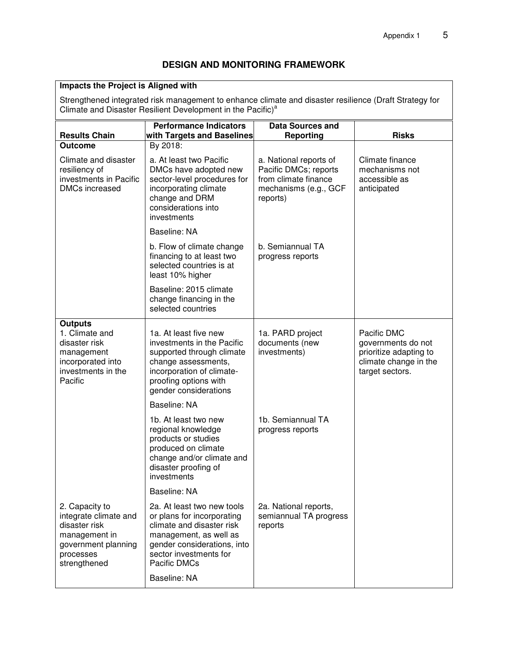#### **DESIGN AND MONITORING FRAMEWORK**

#### **Impacts the Project is Aligned with**

Strengthened integrated risk management to enhance climate and disaster resilience (Draft Strategy for Climate and Disaster Resilient Development in the Pacific)<sup>a</sup>

| <b>Results Chain</b>                                                                                                          | <b>Performance Indicators</b><br>with Targets and Baselines                                                                                                                              | <b>Data Sources and</b><br>Reporting                                                                         | <b>Risks</b>                                                                                            |
|-------------------------------------------------------------------------------------------------------------------------------|------------------------------------------------------------------------------------------------------------------------------------------------------------------------------------------|--------------------------------------------------------------------------------------------------------------|---------------------------------------------------------------------------------------------------------|
| <b>Outcome</b>                                                                                                                | By 2018:                                                                                                                                                                                 |                                                                                                              |                                                                                                         |
| Climate and disaster<br>resiliency of<br>investments in Pacific<br><b>DMCs increased</b>                                      | a. At least two Pacific<br>DMCs have adopted new<br>sector-level procedures for<br>incorporating climate<br>change and DRM<br>considerations into<br>investments                         | a. National reports of<br>Pacific DMCs; reports<br>from climate finance<br>mechanisms (e.g., GCF<br>reports) | Climate finance<br>mechanisms not<br>accessible as<br>anticipated                                       |
|                                                                                                                               | Baseline: NA                                                                                                                                                                             |                                                                                                              |                                                                                                         |
|                                                                                                                               | b. Flow of climate change<br>financing to at least two<br>selected countries is at<br>least 10% higher                                                                                   | b. Semiannual TA<br>progress reports                                                                         |                                                                                                         |
|                                                                                                                               | Baseline: 2015 climate<br>change financing in the<br>selected countries                                                                                                                  |                                                                                                              |                                                                                                         |
| <b>Outputs</b><br>1. Climate and<br>disaster risk<br>management<br>incorporated into<br>investments in the<br>Pacific         | 1a. At least five new<br>investments in the Pacific<br>supported through climate<br>change assessments,<br>incorporation of climate-<br>proofing options with<br>gender considerations   | 1a. PARD project<br>documents (new<br>investments)                                                           | Pacific DMC<br>governments do not<br>prioritize adapting to<br>climate change in the<br>target sectors. |
|                                                                                                                               | Baseline: NA                                                                                                                                                                             |                                                                                                              |                                                                                                         |
|                                                                                                                               | 1b. At least two new<br>regional knowledge<br>products or studies<br>produced on climate<br>change and/or climate and<br>disaster proofing of<br>investments                             | 1b. Semiannual TA<br>progress reports                                                                        |                                                                                                         |
|                                                                                                                               | Baseline: NA                                                                                                                                                                             |                                                                                                              |                                                                                                         |
| 2. Capacity to<br>integrate climate and<br>disaster risk<br>management in<br>government planning<br>processes<br>strengthened | 2a. At least two new tools<br>or plans for incorporating<br>climate and disaster risk<br>management, as well as<br>gender considerations, into<br>sector investments for<br>Pacific DMCs | 2a. National reports,<br>semiannual TA progress<br>reports                                                   |                                                                                                         |
|                                                                                                                               | Baseline: NA                                                                                                                                                                             |                                                                                                              |                                                                                                         |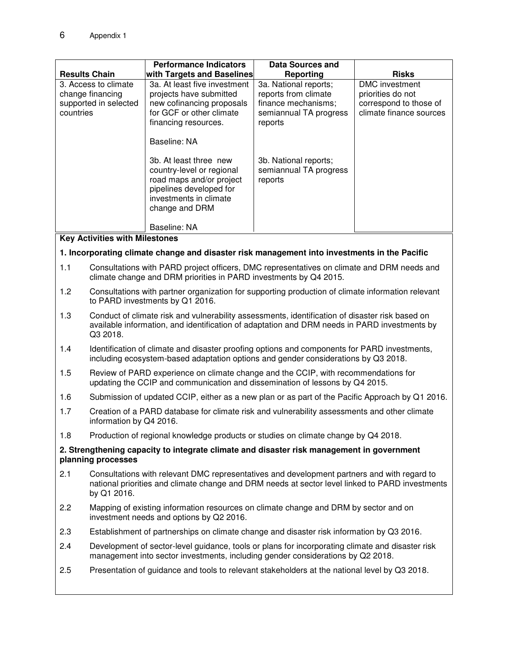|                                                                                                                 |                                                                                                                                                                                                               | <b>Performance Indicators</b>                                                                                                                                                       | <b>Data Sources and</b>                         |                                       |
|-----------------------------------------------------------------------------------------------------------------|---------------------------------------------------------------------------------------------------------------------------------------------------------------------------------------------------------------|-------------------------------------------------------------------------------------------------------------------------------------------------------------------------------------|-------------------------------------------------|---------------------------------------|
| <b>Results Chain</b>                                                                                            |                                                                                                                                                                                                               | with Targets and Baselines<br>3a. At least five investment                                                                                                                          | <b>Reporting</b><br>3a. National reports;       | <b>Risks</b><br><b>DMC</b> investment |
| 3. Access to climate<br>change financing                                                                        |                                                                                                                                                                                                               | projects have submitted                                                                                                                                                             | reports from climate                            | priorities do not                     |
| supported in selected                                                                                           |                                                                                                                                                                                                               | new cofinancing proposals                                                                                                                                                           | finance mechanisms;                             | correspond to those of                |
| countries                                                                                                       |                                                                                                                                                                                                               | for GCF or other climate<br>financing resources.                                                                                                                                    | semiannual TA progress<br>reports               | climate finance sources               |
|                                                                                                                 |                                                                                                                                                                                                               | Baseline: NA                                                                                                                                                                        |                                                 |                                       |
|                                                                                                                 |                                                                                                                                                                                                               |                                                                                                                                                                                     |                                                 |                                       |
|                                                                                                                 |                                                                                                                                                                                                               | 3b. At least three new<br>country-level or regional                                                                                                                                 | 3b. National reports;<br>semiannual TA progress |                                       |
|                                                                                                                 |                                                                                                                                                                                                               | road maps and/or project                                                                                                                                                            | reports                                         |                                       |
|                                                                                                                 |                                                                                                                                                                                                               | pipelines developed for<br>investments in climate                                                                                                                                   |                                                 |                                       |
|                                                                                                                 |                                                                                                                                                                                                               | change and DRM                                                                                                                                                                      |                                                 |                                       |
|                                                                                                                 |                                                                                                                                                                                                               |                                                                                                                                                                                     |                                                 |                                       |
|                                                                                                                 | <b>Key Activities with Milestones</b>                                                                                                                                                                         | Baseline: NA                                                                                                                                                                        |                                                 |                                       |
|                                                                                                                 |                                                                                                                                                                                                               | 1. Incorporating climate change and disaster risk management into investments in the Pacific                                                                                        |                                                 |                                       |
|                                                                                                                 |                                                                                                                                                                                                               |                                                                                                                                                                                     |                                                 |                                       |
| 1.1                                                                                                             |                                                                                                                                                                                                               | Consultations with PARD project officers, DMC representatives on climate and DRM needs and<br>climate change and DRM priorities in PARD investments by Q4 2015.                     |                                                 |                                       |
| 1.2                                                                                                             | Consultations with partner organization for supporting production of climate information relevant<br>to PARD investments by Q1 2016.                                                                          |                                                                                                                                                                                     |                                                 |                                       |
| 1.3                                                                                                             | Conduct of climate risk and vulnerability assessments, identification of disaster risk based on<br>available information, and identification of adaptation and DRM needs in PARD investments by<br>Q3 2018.   |                                                                                                                                                                                     |                                                 |                                       |
| 1.4                                                                                                             | Identification of climate and disaster proofing options and components for PARD investments,<br>including ecosystem-based adaptation options and gender considerations by Q3 2018.                            |                                                                                                                                                                                     |                                                 |                                       |
| 1.5                                                                                                             | Review of PARD experience on climate change and the CCIP, with recommendations for<br>updating the CCIP and communication and dissemination of lessons by Q4 2015.                                            |                                                                                                                                                                                     |                                                 |                                       |
| 1.6                                                                                                             | Submission of updated CCIP, either as a new plan or as part of the Pacific Approach by Q1 2016.                                                                                                               |                                                                                                                                                                                     |                                                 |                                       |
| 1.7                                                                                                             | Creation of a PARD database for climate risk and vulnerability assessments and other climate<br>information by Q4 2016.                                                                                       |                                                                                                                                                                                     |                                                 |                                       |
| 1.8                                                                                                             | Production of regional knowledge products or studies on climate change by Q4 2018.                                                                                                                            |                                                                                                                                                                                     |                                                 |                                       |
| 2. Strengthening capacity to integrate climate and disaster risk management in government<br>planning processes |                                                                                                                                                                                                               |                                                                                                                                                                                     |                                                 |                                       |
| 2.1                                                                                                             | Consultations with relevant DMC representatives and development partners and with regard to<br>national priorities and climate change and DRM needs at sector level linked to PARD investments<br>by Q1 2016. |                                                                                                                                                                                     |                                                 |                                       |
| 2.2                                                                                                             | Mapping of existing information resources on climate change and DRM by sector and on<br>investment needs and options by Q2 2016.                                                                              |                                                                                                                                                                                     |                                                 |                                       |
| 2.3                                                                                                             |                                                                                                                                                                                                               | Establishment of partnerships on climate change and disaster risk information by Q3 2016.                                                                                           |                                                 |                                       |
| 2.4                                                                                                             |                                                                                                                                                                                                               | Development of sector-level guidance, tools or plans for incorporating climate and disaster risk<br>management into sector investments, including gender considerations by Q2 2018. |                                                 |                                       |
| 2.5                                                                                                             |                                                                                                                                                                                                               | Presentation of guidance and tools to relevant stakeholders at the national level by Q3 2018.                                                                                       |                                                 |                                       |
|                                                                                                                 |                                                                                                                                                                                                               |                                                                                                                                                                                     |                                                 |                                       |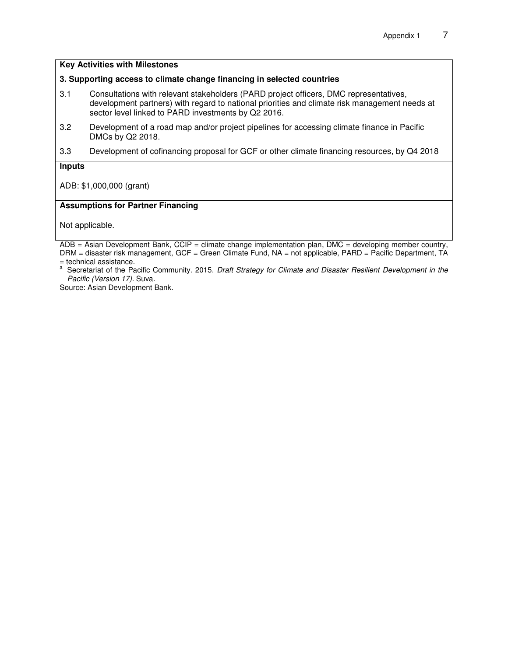#### **Key Activities with Milestones**

#### **3. Supporting access to climate change financing in selected countries**

- 3.1 Consultations with relevant stakeholders (PARD project officers, DMC representatives, development partners) with regard to national priorities and climate risk management needs at sector level linked to PARD investments by Q2 2016.
- 3.2 Development of a road map and/or project pipelines for accessing climate finance in Pacific DMCs by Q2 2018.
- 3.3 Development of cofinancing proposal for GCF or other climate financing resources, by Q4 2018

#### **Inputs**

ADB: \$1,000,000 (grant)

#### **Assumptions for Partner Financing**

Not applicable.

 $ADB = Asian Development Bank, CCIP = climate change implementation plan, DMC = developing member country,$ DRM = disaster risk management, GCF = Green Climate Fund, NA = not applicable, PARD = Pacific Department, TA

= technical assistance.<br><sup>a</sup> Secretariat of the Pacific Community. 2015. *Draft Strategy for Climate and Disaster Resilient Development in the Pacific (Version 17).* Suva.

Source: Asian Development Bank.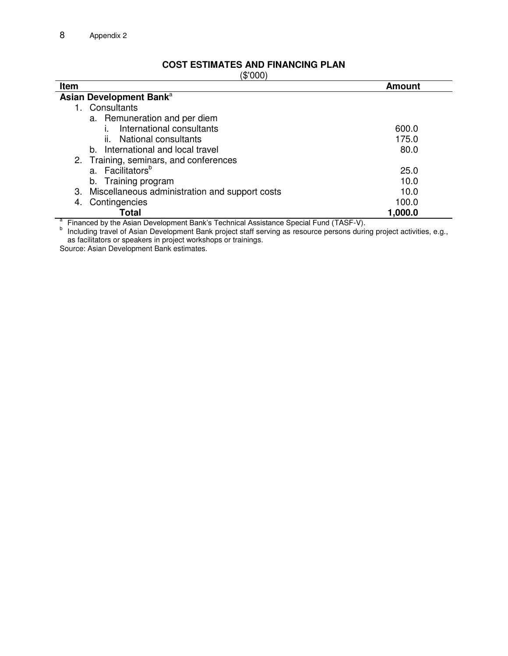# **COST ESTIMATES AND FINANCING PLAN**

| \$'000 |
|--------|
|--------|

| $\sqrt{\Psi}$ vvv $\mu$<br><b>Item</b>                                                                                                                                                                        | <b>Amount</b> |
|---------------------------------------------------------------------------------------------------------------------------------------------------------------------------------------------------------------|---------------|
| Asian Development Bank <sup>a</sup>                                                                                                                                                                           |               |
| Consultants                                                                                                                                                                                                   |               |
| a. Remuneration and per diem                                                                                                                                                                                  |               |
| International consultants                                                                                                                                                                                     | 600.0         |
| National consultants<br>Ш.                                                                                                                                                                                    | 175.0         |
| b. International and local travel                                                                                                                                                                             | 80.0          |
| 2. Training, seminars, and conferences                                                                                                                                                                        |               |
| a. Facilitators <sup>b</sup>                                                                                                                                                                                  | 25.0          |
| b. Training program                                                                                                                                                                                           | 10.0          |
| Miscellaneous administration and support costs<br>3.                                                                                                                                                          | 10.0          |
| Contingencies<br>4.                                                                                                                                                                                           | 100.0         |
| Total                                                                                                                                                                                                         | 1,000.0       |
| Financed by the Asian Development Bank's Technical Assistance Special Fund (TASF-V).<br>Including travel of Asian Development Bank project staff serving as resource persons during project activities, e.g., |               |

as facilitators or speakers in project workshops or trainings.

Source: Asian Development Bank estimates.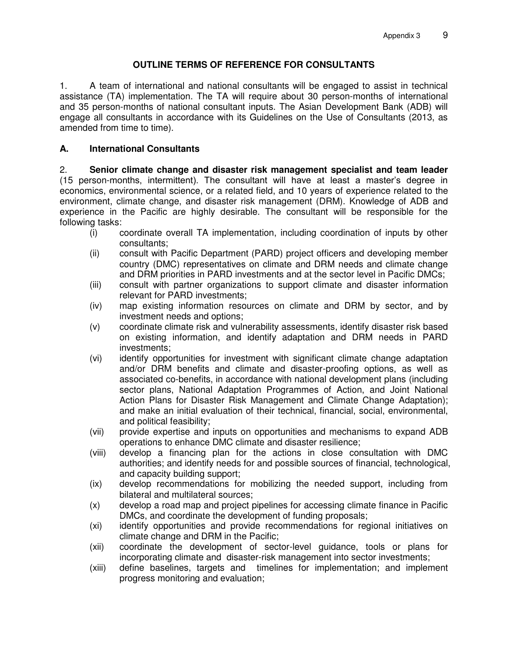## **OUTLINE TERMS OF REFERENCE FOR CONSULTANTS**

1. A team of international and national consultants will be engaged to assist in technical assistance (TA) implementation. The TA will require about 30 person-months of international and 35 person-months of national consultant inputs. The Asian Development Bank (ADB) will engage all consultants in accordance with its Guidelines on the Use of Consultants (2013, as amended from time to time).

## **A. International Consultants**

2. **Senior climate change and disaster risk management specialist and team leader** (15 person-months, intermittent). The consultant will have at least a master's degree in economics, environmental science, or a related field, and 10 years of experience related to the environment, climate change, and disaster risk management (DRM). Knowledge of ADB and experience in the Pacific are highly desirable. The consultant will be responsible for the following tasks:

- (i) coordinate overall TA implementation, including coordination of inputs by other consultants;
- (ii) consult with Pacific Department (PARD) project officers and developing member country (DMC) representatives on climate and DRM needs and climate change and DRM priorities in PARD investments and at the sector level in Pacific DMCs;
- (iii) consult with partner organizations to support climate and disaster information relevant for PARD investments;
- (iv) map existing information resources on climate and DRM by sector, and by investment needs and options;
- (v) coordinate climate risk and vulnerability assessments, identify disaster risk based on existing information, and identify adaptation and DRM needs in PARD investments;
- (vi) identify opportunities for investment with significant climate change adaptation and/or DRM benefits and climate and disaster-proofing options, as well as associated co-benefits, in accordance with national development plans (including sector plans, National Adaptation Programmes of Action, and Joint National Action Plans for Disaster Risk Management and Climate Change Adaptation); and make an initial evaluation of their technical, financial, social, environmental, and political feasibility;
- (vii) provide expertise and inputs on opportunities and mechanisms to expand ADB operations to enhance DMC climate and disaster resilience;
- (viii) develop a financing plan for the actions in close consultation with DMC authorities; and identify needs for and possible sources of financial, technological, and capacity building support;
- (ix) develop recommendations for mobilizing the needed support, including from bilateral and multilateral sources;
- (x) develop a road map and project pipelines for accessing climate finance in Pacific DMCs, and coordinate the development of funding proposals;
- (xi) identify opportunities and provide recommendations for regional initiatives on climate change and DRM in the Pacific;
- (xii) coordinate the development of sector-level guidance, tools or plans for incorporating climate and disaster-risk management into sector investments;
- (xiii) define baselines, targets and timelines for implementation; and implement progress monitoring and evaluation;